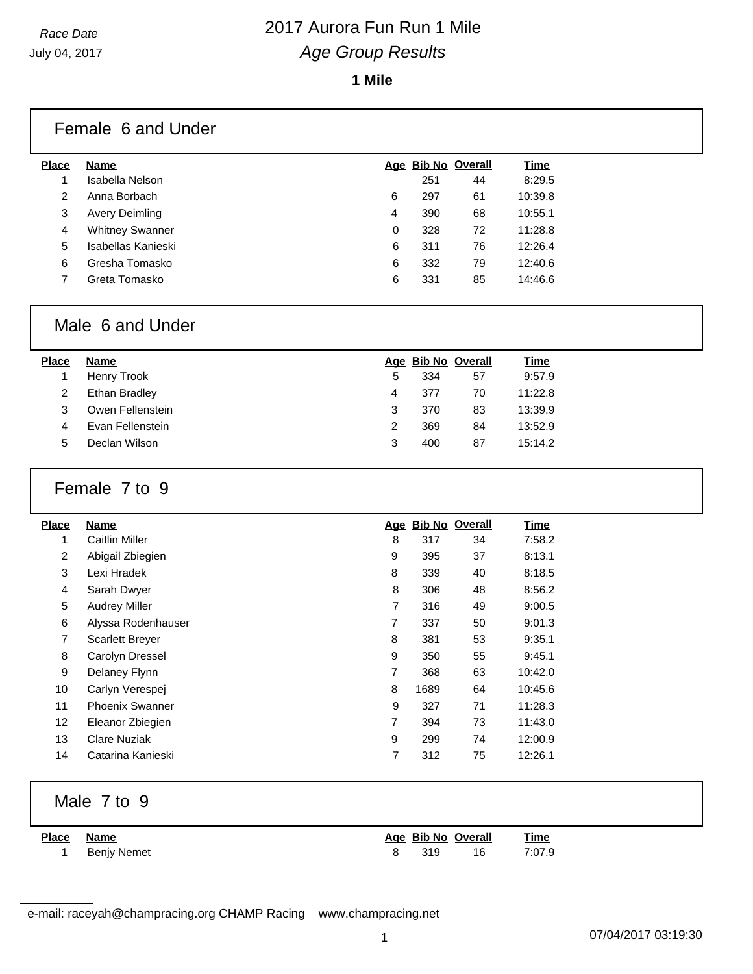**1 Mile**

| <b>Place</b> | <b>Name</b>            |   |     | Age Bib No Overall | <b>Time</b> |
|--------------|------------------------|---|-----|--------------------|-------------|
|              | Isabella Nelson        |   | 251 | 44                 | 8:29.5      |
| 2            | Anna Borbach           | 6 | 297 | 61                 | 10:39.8     |
| 3            | <b>Avery Deimling</b>  | 4 | 390 | 68                 | 10:55.1     |
| 4            | <b>Whitney Swanner</b> | 0 | 328 | 72                 | 11:28.8     |
| 5            | Isabellas Kanieski     | 6 | 311 | 76                 | 12:26.4     |
| 6            | Gresha Tomasko         | 6 | 332 | 79                 | 12:40.6     |
|              | Greta Tomasko          | 6 | 331 | 85                 | 14:46.6     |

## Male 6 and Under

| <b>Place</b> | Name             |   |     | Age Bib No Overall | Time    |
|--------------|------------------|---|-----|--------------------|---------|
|              | Henry Trook      | 5 | 334 | 57                 | 9:57.9  |
|              | Ethan Bradley    | 4 | 377 | 70                 | 11:22.8 |
| 3            | Owen Fellenstein | 3 | 370 | 83                 | 13:39.9 |
| 4            | Evan Fellenstein | 2 | 369 | 84                 | 13:52.9 |
| 5.           | Declan Wilson    | З | 400 | 87                 | 15:14.2 |

## Female 7 to 9

| <b>Place</b>    | Name                   | <u>Age</u> |      | <b>Bib No Overall</b> | <b>Time</b> |
|-----------------|------------------------|------------|------|-----------------------|-------------|
| 1               | <b>Caitlin Miller</b>  | 8          | 317  | 34                    | 7:58.2      |
| $\overline{2}$  | Abigail Zbiegien       | 9          | 395  | 37                    | 8:13.1      |
| 3               | Lexi Hradek            | 8          | 339  | 40                    | 8:18.5      |
| 4               | Sarah Dwyer            | 8          | 306  | 48                    | 8:56.2      |
| 5               | <b>Audrey Miller</b>   | 7          | 316  | 49                    | 9:00.5      |
| 6               | Alyssa Rodenhauser     | 7          | 337  | 50                    | 9:01.3      |
| 7               | <b>Scarlett Breyer</b> | 8          | 381  | 53                    | 9:35.1      |
| 8               | Carolyn Dressel        | 9          | 350  | 55                    | 9:45.1      |
| 9               | Delaney Flynn          | 7          | 368  | 63                    | 10:42.0     |
| 10              | Carlyn Verespej        | 8          | 1689 | 64                    | 10:45.6     |
| 11              | <b>Phoenix Swanner</b> | 9          | 327  | 71                    | 11:28.3     |
| 12 <sup>2</sup> | Eleanor Zbiegien       | 7          | 394  | 73                    | 11:43.0     |
| 13              | <b>Clare Nuziak</b>    | 9          | 299  | 74                    | 12:00.9     |
| 14              | Catarina Kanieski      | 7          | 312  | 75                    | 12:26.1     |

## Male 7 to 9

| Place Name |             | Age Bib No Overall |    | <u>Time</u> |
|------------|-------------|--------------------|----|-------------|
|            | Benjy Nemet | 319                | 16 | 7:07.9      |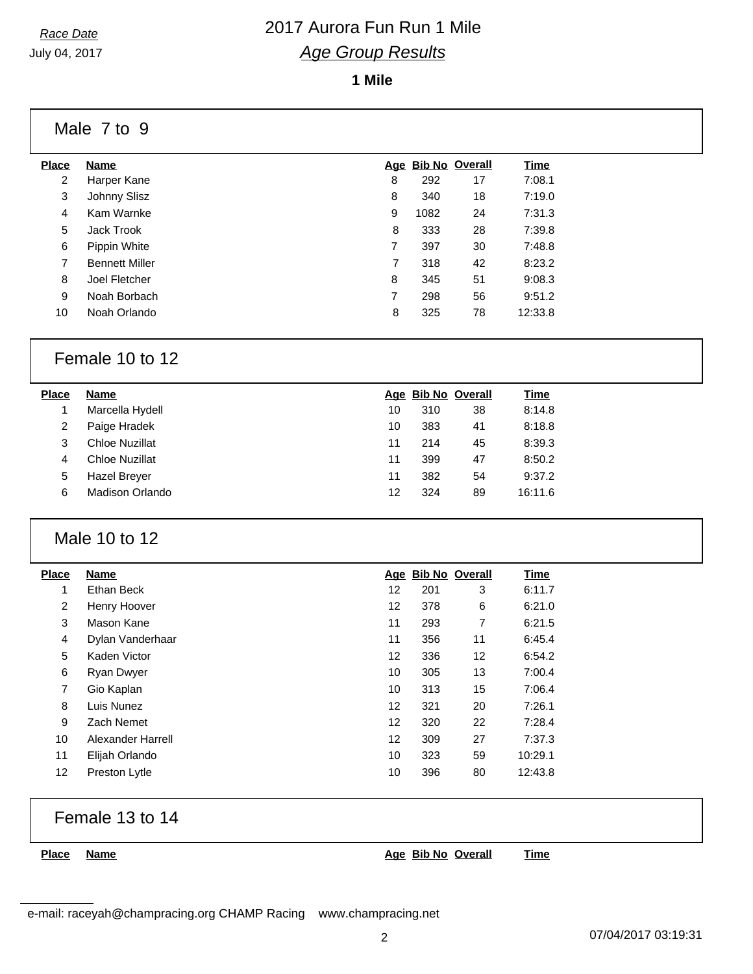July 04, 2017

## *Race Date* 2017 Aurora Fun Run 1 Mile *Age Group Results*

**1 Mile**

Male 7 to 9

| <b>Place</b> | Name                  |   |      | Age Bib No Overall | Time    |
|--------------|-----------------------|---|------|--------------------|---------|
| 2            | Harper Kane           | 8 | 292  | 17                 | 7:08.1  |
| 3            | Johnny Slisz          | 8 | 340  | 18                 | 7:19.0  |
| 4            | Kam Warnke            | 9 | 1082 | 24                 | 7:31.3  |
| 5            | Jack Trook            | 8 | 333  | 28                 | 7:39.8  |
| 6            | Pippin White          | 7 | 397  | 30                 | 7:48.8  |
| 7            | <b>Bennett Miller</b> | 7 | 318  | 42                 | 8:23.2  |
| 8            | Joel Fletcher         | 8 | 345  | 51                 | 9:08.3  |
| 9            | Noah Borbach          | 7 | 298  | 56                 | 9:51.2  |
| 10           | Noah Orlando          | 8 | 325  | 78                 | 12:33.8 |
|              |                       |   |      |                    |         |

## Female 10 to 12

| Place | Name                  |    |     | Age Bib No Overall | <u>Time</u> |
|-------|-----------------------|----|-----|--------------------|-------------|
|       | Marcella Hydell       | 10 | 310 | 38                 | 8:14.8      |
| 2     | Paige Hradek          | 10 | 383 | 41                 | 8:18.8      |
| 3     | <b>Chloe Nuzillat</b> | 11 | 214 | 45                 | 8:39.3      |
| 4     | <b>Chloe Nuzillat</b> | 11 | 399 | 47                 | 8:50.2      |
| 5     | <b>Hazel Brever</b>   | 11 | 382 | 54                 | 9:37.2      |
| 6     | Madison Orlando       | 12 | 324 | 89                 | 16:11.6     |
|       |                       |    |     |                    |             |

## Male 10 to 12

| <b>Place</b>   | <b>Name</b>       |    | Age Bib No Overall |    | Time    |
|----------------|-------------------|----|--------------------|----|---------|
| 1              | Ethan Beck        | 12 | 201                | 3  | 6:11.7  |
| $\overline{2}$ | Henry Hoover      | 12 | 378                | 6  | 6:21.0  |
| 3              | Mason Kane        | 11 | 293                | 7  | 6:21.5  |
| $\overline{4}$ | Dylan Vanderhaar  | 11 | 356                | 11 | 6:45.4  |
| 5              | Kaden Victor      | 12 | 336                | 12 | 6:54.2  |
| 6              | Ryan Dwyer        | 10 | 305                | 13 | 7:00.4  |
| $\overline{7}$ | Gio Kaplan        | 10 | 313                | 15 | 7:06.4  |
| 8              | Luis Nunez        | 12 | 321                | 20 | 7:26.1  |
| 9              | Zach Nemet        | 12 | 320                | 22 | 7:28.4  |
| 10             | Alexander Harrell | 12 | 309                | 27 | 7:37.3  |
| 11             | Elijah Orlando    | 10 | 323                | 59 | 10:29.1 |
| 12             | Preston Lytle     | 10 | 396                | 80 | 12:43.8 |

## Female 13 to 14

**Place Name Age Bib No Overall Time**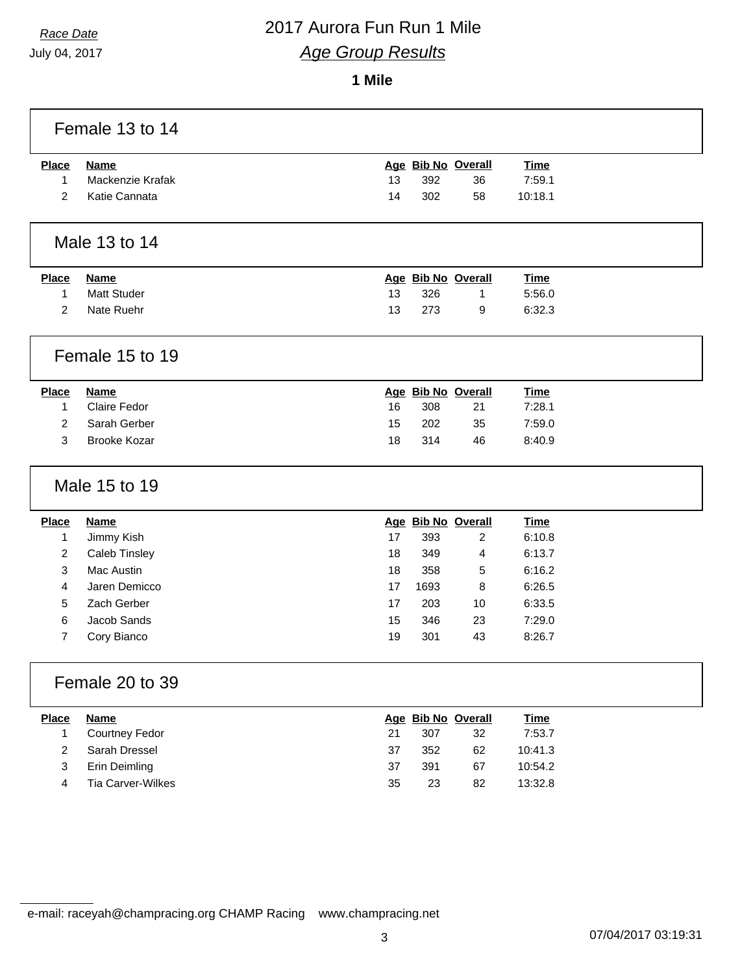July 04, 2017

### **1 Mile**

|                | Female 13 to 14      |    |      |                    |             |  |
|----------------|----------------------|----|------|--------------------|-------------|--|
| <b>Place</b>   | <b>Name</b>          |    |      | Age Bib No Overall | <b>Time</b> |  |
| $\mathbf{1}$   | Mackenzie Krafak     | 13 | 392  | 36                 | 7:59.1      |  |
| 2              | Katie Cannata        | 14 | 302  | 58                 | 10:18.1     |  |
|                | Male 13 to 14        |    |      |                    |             |  |
| <b>Place</b>   | <b>Name</b>          |    |      | Age Bib No Overall | <b>Time</b> |  |
| 1              | <b>Matt Studer</b>   | 13 | 326  | 1                  | 5:56.0      |  |
| $\overline{2}$ | Nate Ruehr           | 13 | 273  | 9                  | 6:32.3      |  |
|                | Female 15 to 19      |    |      |                    |             |  |
| <b>Place</b>   | <b>Name</b>          |    |      | Age Bib No Overall | <b>Time</b> |  |
| 1              | <b>Claire Fedor</b>  | 16 | 308  | 21                 | 7:28.1      |  |
| $\overline{2}$ | Sarah Gerber         | 15 | 202  | 35                 | 7:59.0      |  |
| 3              | <b>Brooke Kozar</b>  | 18 | 314  | 46                 | 8:40.9      |  |
|                | Male 15 to 19        |    |      |                    |             |  |
| <b>Place</b>   | <b>Name</b>          |    |      | Age Bib No Overall | <b>Time</b> |  |
| 1              | Jimmy Kish           | 17 | 393  | $\overline{2}$     | 6:10.8      |  |
| $\overline{2}$ | <b>Caleb Tinsley</b> | 18 | 349  | 4                  | 6:13.7      |  |
| 3              | Mac Austin           | 18 | 358  | 5                  | 6:16.2      |  |
| 4              | Jaren Demicco        | 17 | 1693 | 8                  | 6:26.5      |  |
| 5              | Zach Gerber          | 17 | 203  | 10                 | 6:33.5      |  |
| 6              | Jacob Sands          | 15 | 346  | 23                 | 7:29.0      |  |
| $\overline{7}$ | Cory Bianco          | 19 | 301  | 43                 | 8:26.7      |  |
|                | Female 20 to 39      |    |      |                    |             |  |
| <b>Place</b>   | <b>Name</b>          |    |      | Age Bib No Overall | <b>Time</b> |  |
| $\mathbf{1}$   | Courtney Fedor       | 21 | 307  | 32                 | 7:53.7      |  |
| $\overline{c}$ | Sarah Dressel        | 37 | 352  | 62                 | 10:41.3     |  |
| 3              | <b>Erin Deimling</b> | 37 | 391  | 67                 | 10:54.2     |  |
| 4              | Tia Carver-Wilkes    | 35 | 23   | 82                 | 13:32.8     |  |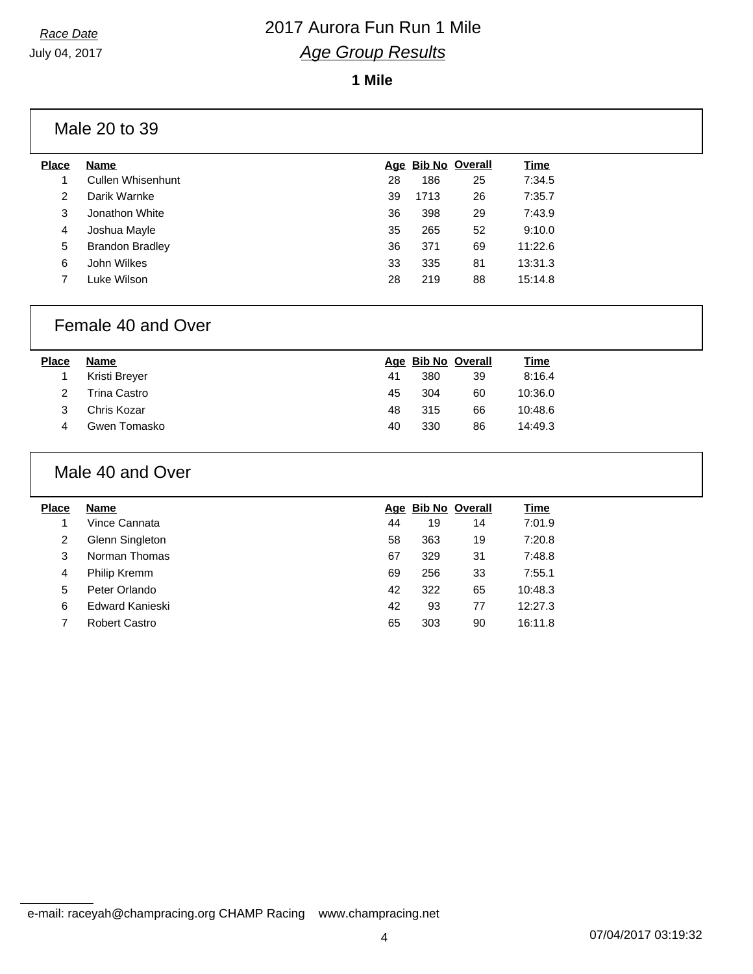**1 Mile**

## Male 20 to 39

| <b>Place</b> | <b>Name</b>            |    |      | Age Bib No Overall | Time    |
|--------------|------------------------|----|------|--------------------|---------|
|              | Cullen Whisenhunt      | 28 | 186  | 25                 | 7:34.5  |
| 2            | Darik Warnke           | 39 | 1713 | 26                 | 7:35.7  |
| 3            | Jonathon White         | 36 | 398  | 29                 | 7:43.9  |
| 4            | Joshua Mayle           | 35 | 265  | 52                 | 9:10.0  |
| 5            | <b>Brandon Bradley</b> | 36 | 371  | 69                 | 11:22.6 |
| 6            | John Wilkes            | 33 | 335  | 81                 | 13:31.3 |
|              | Luke Wilson            | 28 | 219  | 88                 | 15:14.8 |
|              |                        |    |      |                    |         |

#### Female 40 and Over

| <u>Time</u> |
|-------------|
| 8:16.4      |
| 10:36.0     |
| 10:48.6     |
| 14:49.3     |
|             |

## Male 40 and Over

| <b>Place</b> | Name            |    | Age Bib No Overall |    | Time    |
|--------------|-----------------|----|--------------------|----|---------|
|              | Vince Cannata   | 44 | 19                 | 14 | 7:01.9  |
| 2            | Glenn Singleton | 58 | 363                | 19 | 7:20.8  |
| 3            | Norman Thomas   | 67 | 329                | 31 | 7:48.8  |
| 4            | Philip Kremm    | 69 | 256                | 33 | 7:55.1  |
| 5            | Peter Orlando   | 42 | 322                | 65 | 10:48.3 |
| 6            | Edward Kanieski | 42 | 93                 | 77 | 12:27.3 |
|              | Robert Castro   | 65 | 303                | 90 | 16:11.8 |